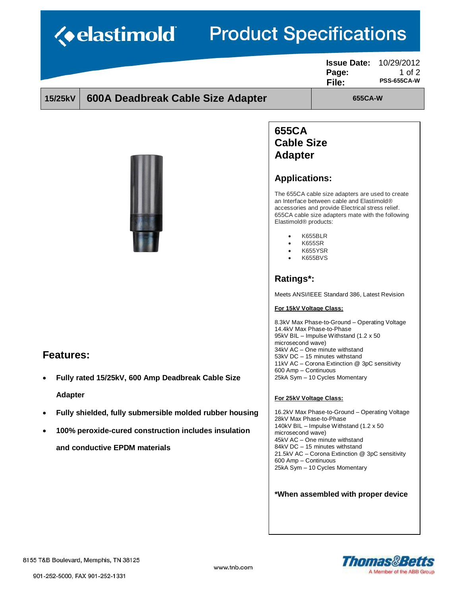## $10 - 11$ ۰. п  $\mathbf{T}^*$ **Date T**arraine  $\sim$

| <b><i><u>{•elastimoid}</u></i></b><br><b>Product Specifications</b> |                                                                                                                                                  |                                                                                   |                                                                                                                                                                                                                                                                                                                                                                                       |                                              |  |
|---------------------------------------------------------------------|--------------------------------------------------------------------------------------------------------------------------------------------------|-----------------------------------------------------------------------------------|---------------------------------------------------------------------------------------------------------------------------------------------------------------------------------------------------------------------------------------------------------------------------------------------------------------------------------------------------------------------------------------|----------------------------------------------|--|
|                                                                     |                                                                                                                                                  |                                                                                   | <b>Issue Date:</b><br>Page:<br>File:                                                                                                                                                                                                                                                                                                                                                  | 10/29/2012<br>1 of $2$<br><b>PSS-655CA-W</b> |  |
| 15/25kV                                                             | 600A Deadbreak Cable Size Adapter                                                                                                                | 655CA-W                                                                           |                                                                                                                                                                                                                                                                                                                                                                                       |                                              |  |
|                                                                     |                                                                                                                                                  |                                                                                   | 655CA<br><b>Cable Size</b><br><b>Adapter</b><br><b>Applications:</b><br>The 655CA cable size adapters are used to create<br>an Interface between cable and Elastimold®<br>accessories and provide Electrical stress relief.<br>655CA cable size adapters mate with the following<br>Elastimold <sup>®</sup> products:<br>K655BLR<br><b>K655SR</b><br><b>K655YSR</b><br><b>K655BVS</b> |                                              |  |
| <b>Features:</b>                                                    |                                                                                                                                                  | Ratings*:<br>For 15kV Voltage Class:<br>microsecond wave)<br>600 Amp - Continuous | Meets ANSI/IEEE Standard 386, Latest Revision<br>8.3kV Max Phase-to-Ground – Operating Voltage<br>14.4kV Max Phase-to-Phase<br>95kV BIL - Impulse Withstand (1.2 x 50)<br>34kV AC - One minute withstand<br>53kV DC - 15 minutes withstand<br>11kV AC - Corona Extinction @ 3pC sensitivity                                                                                           |                                              |  |
| $\bullet$                                                           | Fully rated 15/25kV, 600 Amp Deadbreak Cable Size                                                                                                |                                                                                   | 25kA Sym - 10 Cycles Momentary                                                                                                                                                                                                                                                                                                                                                        |                                              |  |
| <b>Adapter</b>                                                      |                                                                                                                                                  | For 25kV Voltage Class:                                                           |                                                                                                                                                                                                                                                                                                                                                                                       |                                              |  |
| $\bullet$<br>$\bullet$                                              | Fully shielded, fully submersible molded rubber housing<br>100% peroxide-cured construction includes insulation<br>and conductive EPDM materials | 28kV Max Phase-to-Phase<br>microsecond wave)                                      | 16.2kV Max Phase-to-Ground - Operating Voltage<br>140kV BIL - Impulse Withstand (1.2 x 50<br>45kV AC - One minute withstand<br>84kV DC - 15 minutes withstand                                                                                                                                                                                                                         |                                              |  |

and conductive EPDM materials

**Thomas&Betts** A Member of the ABB Group

21.5kV AC – Corona Extinction @ 3pC sensitivity<br>21.5kV AC – Corona Extinction @ 3pC sensitivity<br>25kA Sym – 10 Cycles Momentary

\*When assembled with proper device